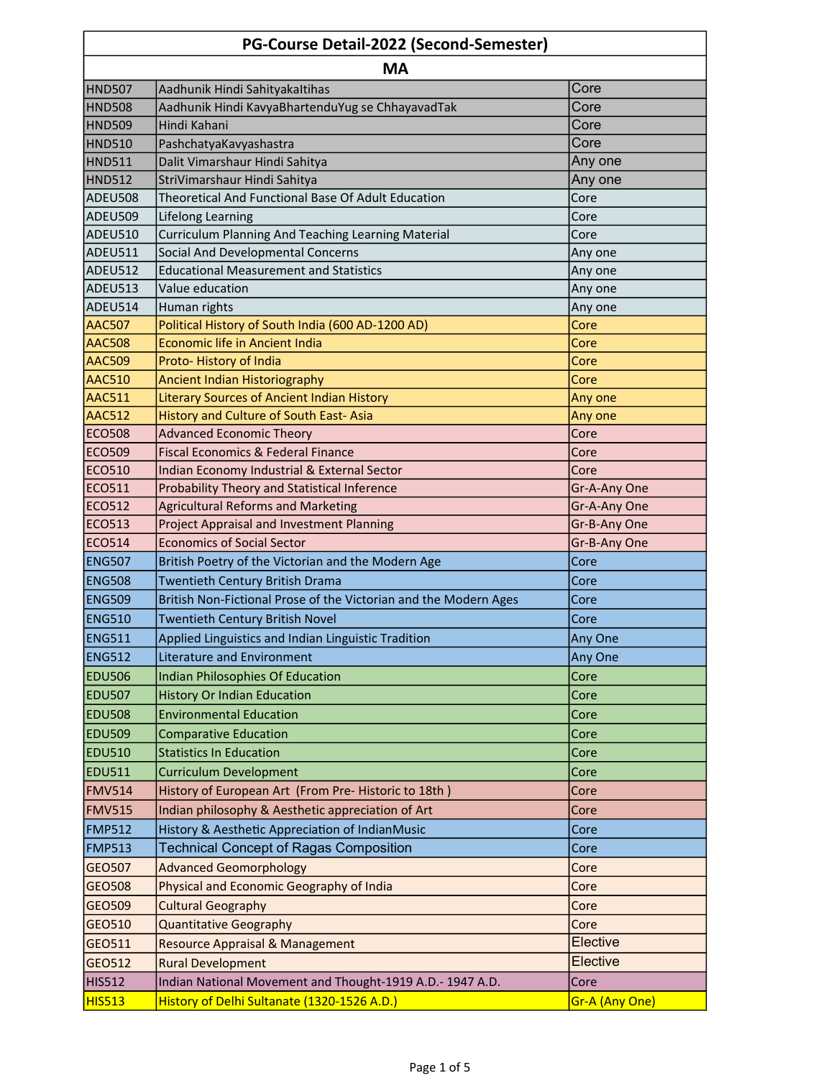| PG-Course Detail-2022 (Second-Semester) |                                                                  |                |  |
|-----------------------------------------|------------------------------------------------------------------|----------------|--|
| <b>MA</b>                               |                                                                  |                |  |
| <b>HND507</b>                           | Aadhunik Hindi Sahityakaltihas                                   | Core           |  |
| <b>HND508</b>                           | Aadhunik Hindi KavyaBhartenduYug se ChhayavadTak                 | Core           |  |
| <b>HND509</b>                           | Hindi Kahani                                                     | Core           |  |
| <b>HND510</b>                           | PashchatyaKavyashastra                                           | Core           |  |
| <b>HND511</b>                           | Dalit Vimarshaur Hindi Sahitya                                   | Any one        |  |
| <b>HND512</b>                           | StriVimarshaur Hindi Sahitya                                     | Any one        |  |
| <b>ADEU508</b>                          | Theoretical And Functional Base Of Adult Education               | Core           |  |
| ADEU509                                 | Lifelong Learning                                                | Core           |  |
| ADEU510                                 | Curriculum Planning And Teaching Learning Material               | Core           |  |
| ADEU511                                 | Social And Developmental Concerns                                | Any one        |  |
| ADEU512                                 | <b>Educational Measurement and Statistics</b>                    | Any one        |  |
| ADEU513                                 | Value education                                                  | Any one        |  |
| ADEU514                                 | Human rights                                                     | Any one        |  |
| <b>AAC507</b>                           | Political History of South India (600 AD-1200 AD)                | Core           |  |
| <b>AAC508</b>                           | Economic life in Ancient India                                   | Core           |  |
| <b>AAC509</b>                           | Proto-History of India                                           | Core           |  |
| <b>AAC510</b>                           | Ancient Indian Historiography                                    | Core           |  |
| <b>AAC511</b>                           | <b>Literary Sources of Ancient Indian History</b>                | Any one        |  |
| <b>AAC512</b>                           | History and Culture of South East-Asia                           | Any one        |  |
| <b>ECO508</b>                           | <b>Advanced Economic Theory</b>                                  | Core           |  |
| <b>ECO509</b>                           | <b>Fiscal Economics &amp; Federal Finance</b>                    | Core           |  |
| <b>ECO510</b>                           | Indian Economy Industrial & External Sector                      | Core           |  |
| <b>ECO511</b>                           | Probability Theory and Statistical Inference                     | Gr-A-Any One   |  |
| <b>ECO512</b>                           | <b>Agricultural Reforms and Marketing</b>                        | Gr-A-Any One   |  |
| <b>ECO513</b>                           | <b>Project Appraisal and Investment Planning</b>                 | Gr-B-Any One   |  |
| <b>ECO514</b>                           | <b>Economics of Social Sector</b>                                | Gr-B-Any One   |  |
| <b>ENG507</b>                           | British Poetry of the Victorian and the Modern Age               | Core           |  |
| <b>ENG508</b>                           | Twentieth Century British Drama                                  | Core           |  |
| <b>ENG509</b>                           | British Non-Fictional Prose of the Victorian and the Modern Ages | Core           |  |
| <b>ENG510</b>                           | <b>Twentieth Century British Novel</b>                           | Core           |  |
| <b>ENG511</b>                           | Applied Linguistics and Indian Linguistic Tradition              | Any One        |  |
| <b>ENG512</b>                           | <b>Literature and Environment</b>                                | Any One        |  |
| <b>EDU506</b>                           | <b>Indian Philosophies Of Education</b>                          | Core           |  |
| <b>EDU507</b>                           | <b>History Or Indian Education</b>                               | Core           |  |
| <b>EDU508</b>                           | <b>Environmental Education</b>                                   | Core           |  |
| <b>EDU509</b>                           | <b>Comparative Education</b>                                     | Core           |  |
| <b>EDU510</b>                           | <b>Statistics In Education</b>                                   | Core           |  |
| <b>EDU511</b>                           | <b>Curriculum Development</b>                                    | Core           |  |
| <b>FMV514</b>                           | History of European Art (From Pre- Historic to 18th)             | Core           |  |
| <b>FMV515</b>                           | Indian philosophy & Aesthetic appreciation of Art                | Core           |  |
| <b>FMP512</b>                           | History & Aesthetic Appreciation of IndianMusic                  | Core           |  |
|                                         |                                                                  |                |  |
| <b>FMP513</b>                           | <b>Technical Concept of Ragas Composition</b>                    | Core           |  |
| GEO507                                  | <b>Advanced Geomorphology</b>                                    | Core           |  |
| <b>GEO508</b>                           | Physical and Economic Geography of India                         | Core           |  |
| GEO509                                  | <b>Cultural Geography</b>                                        | Core           |  |
| GEO510                                  | <b>Quantitative Geography</b>                                    | Core           |  |
| GEO511                                  | <b>Resource Appraisal &amp; Management</b>                       | Elective       |  |
| GEO512                                  | <b>Rural Development</b>                                         | Elective       |  |
| <b>HIS512</b>                           | Indian National Movement and Thought-1919 A.D.- 1947 A.D.        | Core           |  |
| <b>HIS513</b>                           | History of Delhi Sultanate (1320-1526 A.D.)                      | Gr-A (Any One) |  |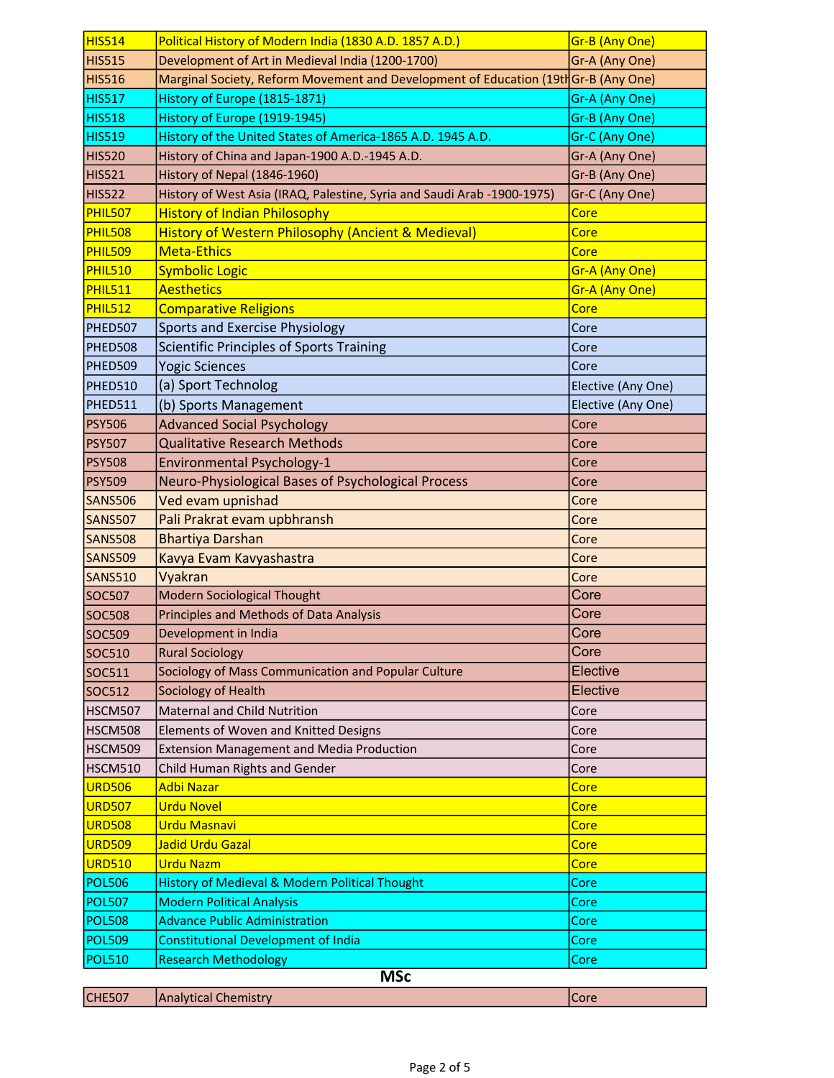| <b>HIS515</b>  | Development of Art in Medieval India (1200-1700)                                    | Gr-A (Any One)     |
|----------------|-------------------------------------------------------------------------------------|--------------------|
| <b>HIS516</b>  | Marginal Society, Reform Movement and Development of Education (19th Gr-B (Any One) |                    |
| <b>HIS517</b>  | History of Europe (1815-1871)                                                       | Gr-A (Any One)     |
| <b>HIS518</b>  | History of Europe (1919-1945)                                                       | Gr-B (Any One)     |
| <b>HIS519</b>  | History of the United States of America-1865 A.D. 1945 A.D.                         | Gr-C (Any One)     |
| <b>HIS520</b>  | History of China and Japan-1900 A.D.-1945 A.D.                                      | Gr-A (Any One)     |
| <b>HIS521</b>  | History of Nepal (1846-1960)                                                        | Gr-B (Any One)     |
| <b>HIS522</b>  | History of West Asia (IRAQ, Palestine, Syria and Saudi Arab -1900-1975)             | Gr-C (Any One)     |
| <b>PHIL507</b> | <b>History of Indian Philosophy</b>                                                 | Core               |
| <b>PHIL508</b> | <b>History of Western Philosophy (Ancient &amp; Medieval)</b>                       | Core               |
| <b>PHIL509</b> | <b>Meta-Ethics</b>                                                                  | Core               |
| PHIL510        | <b>Symbolic Logic</b>                                                               | Gr-A (Any One)     |
| PHIL511        | <b>Aesthetics</b>                                                                   | Gr-A (Any One)     |
| PHIL512        | <b>Comparative Religions</b>                                                        | Core               |
| PHED507        | <b>Sports and Exercise Physiology</b>                                               | Core               |
| PHED508        | Scientific Principles of Sports Training                                            | Core               |
| PHED509        | <b>Yogic Sciences</b>                                                               | Core               |
| PHED510        | (a) Sport Technolog                                                                 | Elective (Any One) |
| PHED511        | (b) Sports Management                                                               | Elective (Any One) |
| <b>PSY506</b>  | <b>Advanced Social Psychology</b>                                                   | Core               |
| <b>PSY507</b>  | <b>Qualitative Research Methods</b>                                                 | Core               |
| <b>PSY508</b>  | <b>Environmental Psychology-1</b>                                                   | Core               |
| <b>PSY509</b>  | Neuro-Physiological Bases of Psychological Process                                  | Core               |
| <b>SANS506</b> | Ved evam upnishad                                                                   | Core               |
| <b>SANS507</b> | Pali Prakrat evam upbhransh                                                         | Core               |
| <b>SANS508</b> | <b>Bhartiya Darshan</b>                                                             | Core               |
| <b>SANS509</b> | Kavya Evam Kavyashastra                                                             | Core               |
| <b>SANS510</b> | Vyakran                                                                             | Core               |
| <b>SOC507</b>  | <b>Modern Sociological Thought</b>                                                  | Core               |
| <b>SOC508</b>  | Principles and Methods of Data Analysis                                             | Core               |
| <b>SOC509</b>  | Development in India                                                                | Core               |
| <b>SOC510</b>  | <b>Rural Sociology</b>                                                              | Core               |
| SOC511         | Sociology of Mass Communication and Popular Culture                                 | Elective           |
| SOC512         | Sociology of Health                                                                 | Elective           |
| HSCM507        | <b>Maternal and Child Nutrition</b>                                                 | Core               |
| HSCM508        | Elements of Woven and Knitted Designs                                               | Core               |
| HSCM509        | <b>Extension Management and Media Production</b>                                    | Core               |
| HSCM510        | Child Human Rights and Gender                                                       | Core               |
| <b>URD506</b>  | Adbi Nazar                                                                          | Core               |
| <b>URD507</b>  | <b>Urdu Novel</b>                                                                   | Core               |
| <b>URD508</b>  | Urdu Masnavi                                                                        | Core               |
| <b>URD509</b>  | Jadid Urdu Gazal                                                                    | Core               |
| <b>URD510</b>  | <b>Urdu Nazm</b>                                                                    | Core               |
| <b>POL506</b>  | <b>History of Medieval &amp; Modern Political Thought</b>                           | Core               |
| <b>POL507</b>  | <b>Modern Political Analysis</b>                                                    | Core               |
| <b>POL508</b>  | <b>Advance Public Administration</b>                                                | Core               |
| <b>POL509</b>  | <b>Constitutional Development of India</b>                                          | Core               |
|                | <b>Research Methodology</b>                                                         | Core               |
| <b>POL510</b>  |                                                                                     |                    |

| <b>CHE507</b> | Analytical Chemistry | <b>ICore</b> |
|---------------|----------------------|--------------|
|---------------|----------------------|--------------|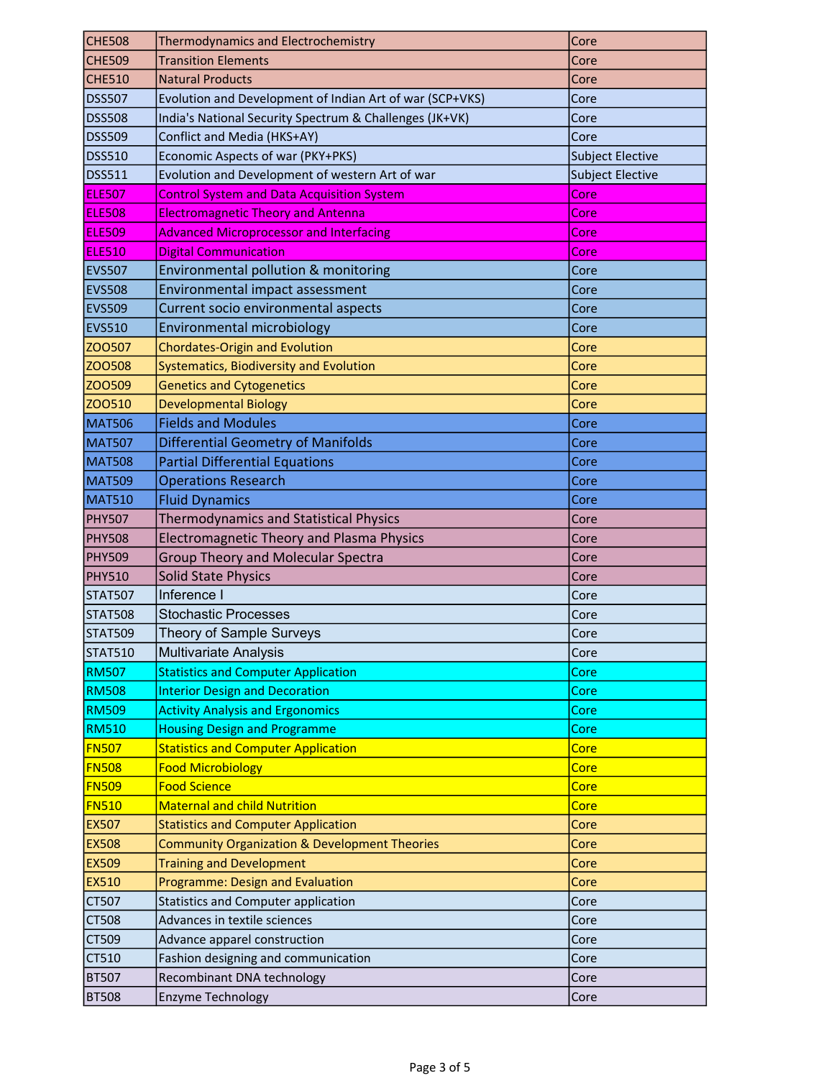| <b>CHE508</b>  | <b>Thermodynamics and Electrochemistry</b>               | Core                    |
|----------------|----------------------------------------------------------|-------------------------|
| <b>CHE509</b>  | <b>Transition Elements</b>                               | Core                    |
| <b>CHE510</b>  | <b>Natural Products</b>                                  | Core                    |
| <b>DSS507</b>  | Evolution and Development of Indian Art of war (SCP+VKS) | Core                    |
| <b>DSS508</b>  | India's National Security Spectrum & Challenges (JK+VK)  | Core                    |
| <b>DSS509</b>  | Conflict and Media (HKS+AY)                              | Core                    |
| <b>DSS510</b>  | Economic Aspects of war (PKY+PKS)                        | <b>Subject Elective</b> |
| <b>DSS511</b>  | Evolution and Development of western Art of war          | <b>Subject Elective</b> |
| <b>ELE507</b>  | <b>Control System and Data Acquisition System</b>        | Core                    |
| <b>ELE508</b>  | <b>Electromagnetic Theory and Antenna</b>                | Core                    |
| <b>ELE509</b>  | <b>Advanced Microprocessor and Interfacing</b>           | Core                    |
| <b>ELE510</b>  | <b>Digital Communication</b>                             | Core                    |
| <b>EVS507</b>  | Environmental pollution & monitoring                     | Core                    |
| <b>EVS508</b>  | Environmental impact assessment                          | Core                    |
| <b>EVS509</b>  | Current socio environmental aspects                      | Core                    |
| <b>EVS510</b>  | Environmental microbiology                               | Core                    |
| ZO0507         | <b>Chordates-Origin and Evolution</b>                    | Core                    |
| ZO0508         | Systematics, Biodiversity and Evolution                  | Core                    |
| ZO0509         | <b>Genetics and Cytogenetics</b>                         | Core                    |
| ZO0510         | <b>Developmental Biology</b>                             | Core                    |
| <b>MAT506</b>  | <b>Fields and Modules</b>                                | Core                    |
| <b>MAT507</b>  | <b>Differential Geometry of Manifolds</b>                | Core                    |
| <b>MAT508</b>  | <b>Partial Differential Equations</b>                    | Core                    |
| <b>MAT509</b>  | <b>Operations Research</b>                               | Core                    |
| <b>MAT510</b>  | <b>Fluid Dynamics</b>                                    | Core                    |
| <b>PHY507</b>  | <b>Thermodynamics and Statistical Physics</b>            | Core                    |
| <b>PHY508</b>  | Electromagnetic Theory and Plasma Physics                | Core                    |
| <b>PHY509</b>  | <b>Group Theory and Molecular Spectra</b>                | Core                    |
| <b>PHY510</b>  | <b>Solid State Physics</b>                               | Core                    |
| <b>STAT507</b> | Inference I                                              | Core                    |
| <b>STAT508</b> | <b>Stochastic Processes</b>                              | Core                    |
| <b>STAT509</b> | Theory of Sample Surveys                                 | Core                    |
| <b>STAT510</b> | Multivariate Analysis                                    | Core                    |
| <b>RM507</b>   | <b>Statistics and Computer Application</b>               | Core                    |
| <b>RM508</b>   | <b>Interior Design and Decoration</b>                    | Core                    |
| <b>RM509</b>   | <b>Activity Analysis and Ergonomics</b>                  | Core                    |
| <b>RM510</b>   | <b>Housing Design and Programme</b>                      | Core                    |
| <b>FN507</b>   | <b>Statistics and Computer Application</b>               | Core                    |
| <b>FN508</b>   | <b>Food Microbiology</b>                                 | Core                    |
| <b>FN509</b>   | <b>Food Science</b>                                      | Core                    |
| <b>FN510</b>   | <b>Maternal and child Nutrition</b>                      | Core                    |
| <b>EX507</b>   | <b>Statistics and Computer Application</b>               | Core                    |
| <b>EX508</b>   | <b>Community Organization &amp; Development Theories</b> | Core                    |
| <b>EX509</b>   | <b>Training and Development</b>                          | Core                    |
| EX510          | Programme: Design and Evaluation                         | Core                    |
| CT507          | <b>Statistics and Computer application</b>               | Core                    |
| <b>CT508</b>   | Advances in textile sciences                             | Core                    |
| CT509          | Advance apparel construction                             | Core                    |
| CT510          | Fashion designing and communication                      | Core                    |
| <b>BT507</b>   | Recombinant DNA technology                               | Core                    |
| <b>BT508</b>   | Enzyme Technology                                        | Core                    |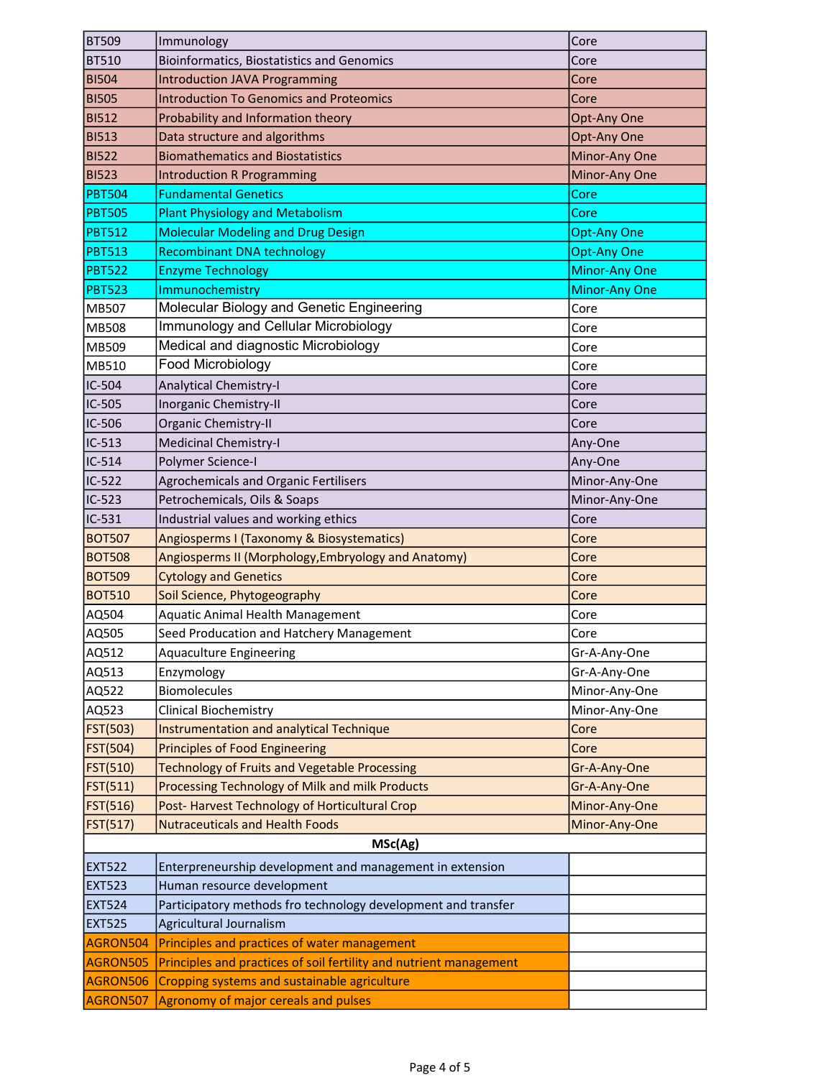| <b>BT509</b>                   | Immunology                                                                             | Core                 |
|--------------------------------|----------------------------------------------------------------------------------------|----------------------|
| <b>BT510</b>                   | <b>Bioinformatics, Biostatistics and Genomics</b>                                      | Core                 |
| <b>BI504</b>                   | <b>Introduction JAVA Programming</b>                                                   | Core                 |
| <b>BI505</b>                   | <b>Introduction To Genomics and Proteomics</b>                                         | Core                 |
| <b>BI512</b>                   | Probability and Information theory                                                     | Opt-Any One          |
| <b>BI513</b>                   | Data structure and algorithms                                                          | Opt-Any One          |
| <b>BI522</b>                   | <b>Biomathematics and Biostatistics</b>                                                | Minor-Any One        |
| <b>BI523</b>                   | <b>Introduction R Programming</b>                                                      | Minor-Any One        |
| <b>PBT504</b>                  | <b>Fundamental Genetics</b>                                                            | Core                 |
| <b>PBT505</b>                  | <b>Plant Physiology and Metabolism</b>                                                 | Core                 |
| <b>PBT512</b>                  | <b>Molecular Modeling and Drug Design</b>                                              | <b>Opt-Any One</b>   |
| <b>PBT513</b>                  | <b>Recombinant DNA technology</b>                                                      | <b>Opt-Any One</b>   |
| <b>PBT522</b>                  | <b>Enzyme Technology</b>                                                               | <b>Minor-Any One</b> |
| <b>PBT523</b>                  | Immunochemistry                                                                        | <b>Minor-Any One</b> |
| MB507                          | Molecular Biology and Genetic Engineering                                              | Core                 |
| <b>MB508</b>                   | Immunology and Cellular Microbiology                                                   | Core                 |
| MB509                          | Medical and diagnostic Microbiology                                                    | Core                 |
| MB510                          | Food Microbiology                                                                      | Core                 |
| IC-504                         | <b>Analytical Chemistry-I</b>                                                          | Core                 |
| IC-505                         | Inorganic Chemistry-II                                                                 | Core                 |
| IC-506                         | Organic Chemistry-II                                                                   | Core                 |
| $IC-513$                       | Medicinal Chemistry-I                                                                  | Any-One              |
| IC-514                         | Polymer Science-I                                                                      | Any-One              |
| $IC-522$                       | Agrochemicals and Organic Fertilisers                                                  | Minor-Any-One        |
| $IC-523$                       | Petrochemicals, Oils & Soaps                                                           | Minor-Any-One        |
| $IC-531$                       | Industrial values and working ethics                                                   | Core                 |
| <b>BOT507</b>                  | Angiosperms I (Taxonomy & Biosystematics)                                              | Core                 |
| <b>BOT508</b>                  | Angiosperms II (Morphology, Embryology and Anatomy)                                    | Core                 |
| <b>BOT509</b>                  | <b>Cytology and Genetics</b>                                                           | Core                 |
| <b>BOT510</b>                  | Soil Science, Phytogeography                                                           | Core                 |
| AQ504                          | Aquatic Animal Health Management                                                       | Core                 |
| AQ505                          | Seed Producation and Hatchery Management                                               | Core                 |
| AQ512                          | <b>Aquaculture Engineering</b>                                                         | Gr-A-Any-One         |
| AQ513                          | Enzymology                                                                             | Gr-A-Any-One         |
| AQ522                          | <b>Biomolecules</b>                                                                    | Minor-Any-One        |
| AQ523                          | <b>Clinical Biochemistry</b>                                                           | Minor-Any-One        |
| FST(503)                       | Instrumentation and analytical Technique                                               | Core                 |
| <b>FST(504)</b>                | <b>Principles of Food Engineering</b>                                                  | Core                 |
| FST(510)                       | <b>Technology of Fruits and Vegetable Processing</b>                                   | Gr-A-Any-One         |
| FST(511)                       | Processing Technology of Milk and milk Products                                        | Gr-A-Any-One         |
| FST(516)                       | Post-Harvest Technology of Horticultural Crop                                          | Minor-Any-One        |
| FST(517)                       | <b>Nutraceuticals and Health Foods</b>                                                 | Minor-Any-One        |
|                                | MSc(Ag)                                                                                |                      |
|                                |                                                                                        |                      |
| <b>EXT522</b><br><b>EXT523</b> | Enterpreneurship development and management in extension<br>Human resource development |                      |
| <b>EXT524</b>                  | Participatory methods fro technology development and transfer                          |                      |
| <b>EXT525</b>                  |                                                                                        |                      |
|                                | Agricultural Journalism                                                                |                      |
| AGRON504                       | Principles and practices of water management                                           |                      |
| AGRON505                       | Principles and practices of soil fertility and nutrient management                     |                      |
| AGRON506                       | Cropping systems and sustainable agriculture                                           |                      |
| AGRON507                       | Agronomy of major cereals and pulses                                                   |                      |